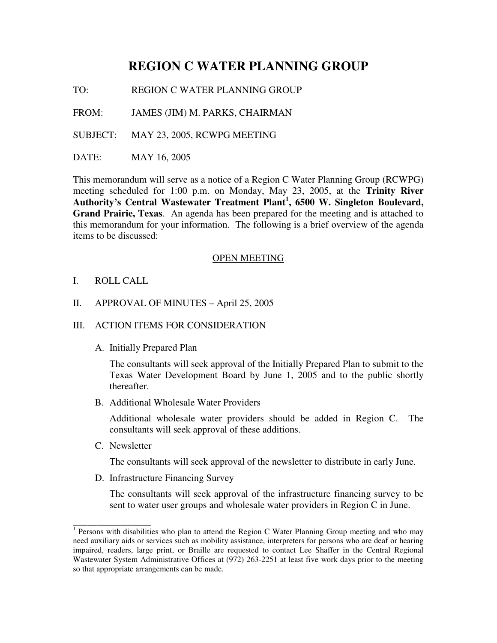# **REGION C WATER PLANNING GROUP**

TO: REGION C WATER PLANNING GROUP

FROM: JAMES (JIM) M. PARKS, CHAIRMAN

SUBJECT: MAY 23, 2005, RCWPG MEETING

DATE: MAY 16, 2005

This memorandum will serve as a notice of a Region C Water Planning Group (RCWPG) meeting scheduled for 1:00 p.m. on Monday, May 23, 2005, at the **Trinity River Authority's Central Wastewater Treatment Plant 1 , 6500 W. Singleton Boulevard, Grand Prairie, Texas**. An agenda has been prepared for the meeting and is attached to this memorandum for your information. The following is a brief overview of the agenda items to be discussed:

#### OPEN MEETING

I. ROLL CALL

#### II. APPROVAL OF MINUTES – April 25, 2005

### III. ACTION ITEMS FOR CONSIDERATION

A. Initially Prepared Plan

The consultants will seek approval of the Initially Prepared Plan to submit to the Texas Water Development Board by June 1, 2005 and to the public shortly thereafter.

B. Additional Wholesale Water Providers

Additional wholesale water providers should be added in Region C. The consultants will seek approval of these additions.

C. Newsletter

The consultants will seek approval of the newsletter to distribute in early June.

D. Infrastructure Financing Survey

The consultants will seek approval of the infrastructure financing survey to be sent to water user groups and wholesale water providers in Region C in June.

<sup>&</sup>lt;sup>1</sup> Persons with disabilities who plan to attend the Region C Water Planning Group meeting and who may need auxiliary aids or services such as mobility assistance, interpreters for persons who are deaf or hearing impaired, readers, large print, or Braille are requested to contact Lee Shaffer in the Central Regional Wastewater System Administrative Offices at (972) 263-2251 at least five work days prior to the meeting so that appropriate arrangements can be made.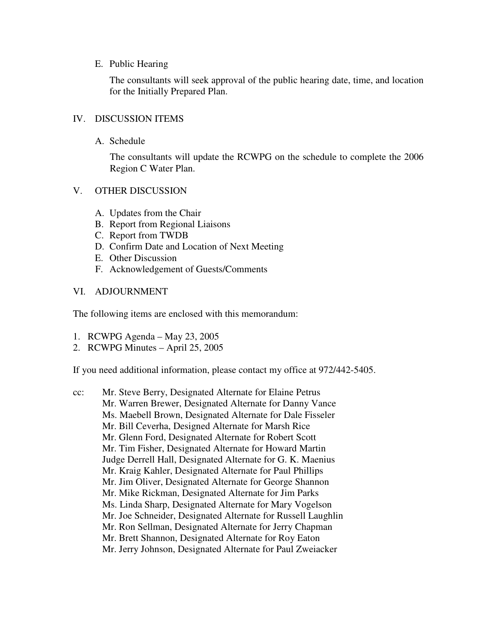#### E. Public Hearing

The consultants will seek approval of the public hearing date, time, and location for the Initially Prepared Plan.

## IV. DISCUSSION ITEMS

A. Schedule

The consultants will update the RCWPG on the schedule to complete the 2006 Region C Water Plan.

## V. OTHER DISCUSSION

- A. Updates from the Chair
- B. Report from Regional Liaisons
- C. Report from TWDB
- D. Confirm Date and Location of Next Meeting
- E. Other Discussion
- F. Acknowledgement of Guests/Comments

## VI. ADJOURNMENT

The following items are enclosed with this memorandum:

- 1. RCWPG Agenda May 23, 2005
- 2. RCWPG Minutes April 25, 2005

If you need additional information, please contact my office at 972/442-5405.

cc: Mr. Steve Berry, Designated Alternate for Elaine Petrus Mr. Warren Brewer, Designated Alternate for Danny Vance Ms. Maebell Brown, Designated Alternate for Dale Fisseler Mr. Bill Ceverha, Designed Alternate for Marsh Rice Mr. Glenn Ford, Designated Alternate for Robert Scott Mr. Tim Fisher, Designated Alternate for Howard Martin Judge Derrell Hall, Designated Alternate for G. K. Maenius Mr. Kraig Kahler, Designated Alternate for Paul Phillips Mr. Jim Oliver, Designated Alternate for George Shannon Mr. Mike Rickman, Designated Alternate for Jim Parks Ms. Linda Sharp, Designated Alternate for Mary Vogelson Mr. Joe Schneider, Designated Alternate for Russell Laughlin Mr. Ron Sellman, Designated Alternate for Jerry Chapman Mr. Brett Shannon, Designated Alternate for Roy Eaton Mr. Jerry Johnson, Designated Alternate for Paul Zweiacker